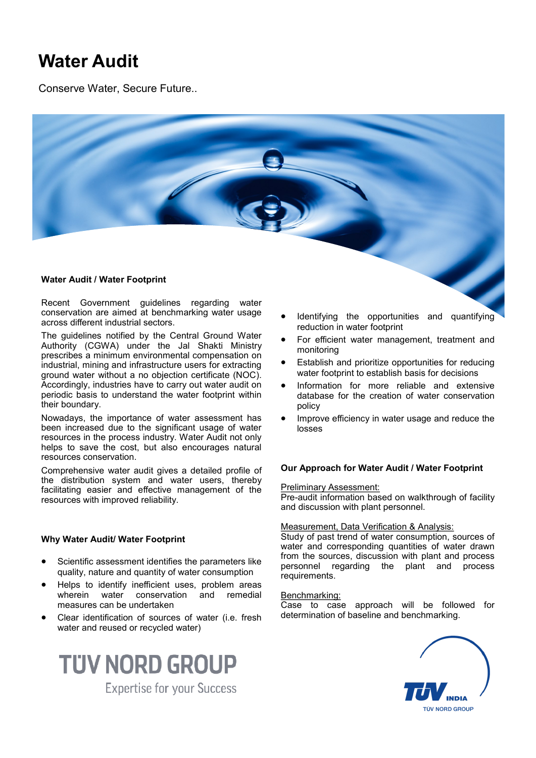# **Water Audit**

Conserve Water, Secure Future..



# **Water Audit / Water Footprint**

Recent Government guidelines regarding water conservation are aimed at benchmarking water usage across different industrial sectors.

The guidelines notified by the Central Ground Water Authority (CGWA) under the Jal Shakti Ministry prescribes a minimum environmental compensation on industrial, mining and infrastructure users for extracting ground water without a no objection certificate (NOC). Accordingly, industries have to carry out water audit on periodic basis to understand the water footprint within their boundary.

Nowadays, the importance of water assessment has been increased due to the significant usage of water resources in the process industry. Water Audit not only helps to save the cost, but also encourages natural resources conservation.

Comprehensive water audit gives a detailed profile of the distribution system and water users, thereby facilitating easier and effective management of the resources with improved reliability.

# **Why Water Audit/ Water Footprint**

- Scientific assessment identifies the parameters like quality, nature and quantity of water consumption
- Helps to identify inefficient uses, problem areas wherein water conservation and remedial measures can be undertaken
- Clear identification of sources of water (i.e. fresh water and reused or recycled water)



- Identifying the opportunities and quantifying reduction in water footprint
- For efficient water management, treatment and monitoring
- Establish and prioritize opportunities for reducing water footprint to establish basis for decisions
- Information for more reliable and extensive database for the creation of water conservation policy
- Improve efficiency in water usage and reduce the losses

# **Our Approach for Water Audit / Water Footprint**

Preliminary Assessment:

Pre-audit information based on walkthrough of facility and discussion with plant personnel.

### Measurement, Data Verification & Analysis:

Study of past trend of water consumption, sources of water and corresponding quantities of water drawn from the sources, discussion with plant and process personnel regarding the plant and process requirements.

#### Benchmarking:

Case to case approach will be followed for determination of baseline and benchmarking.